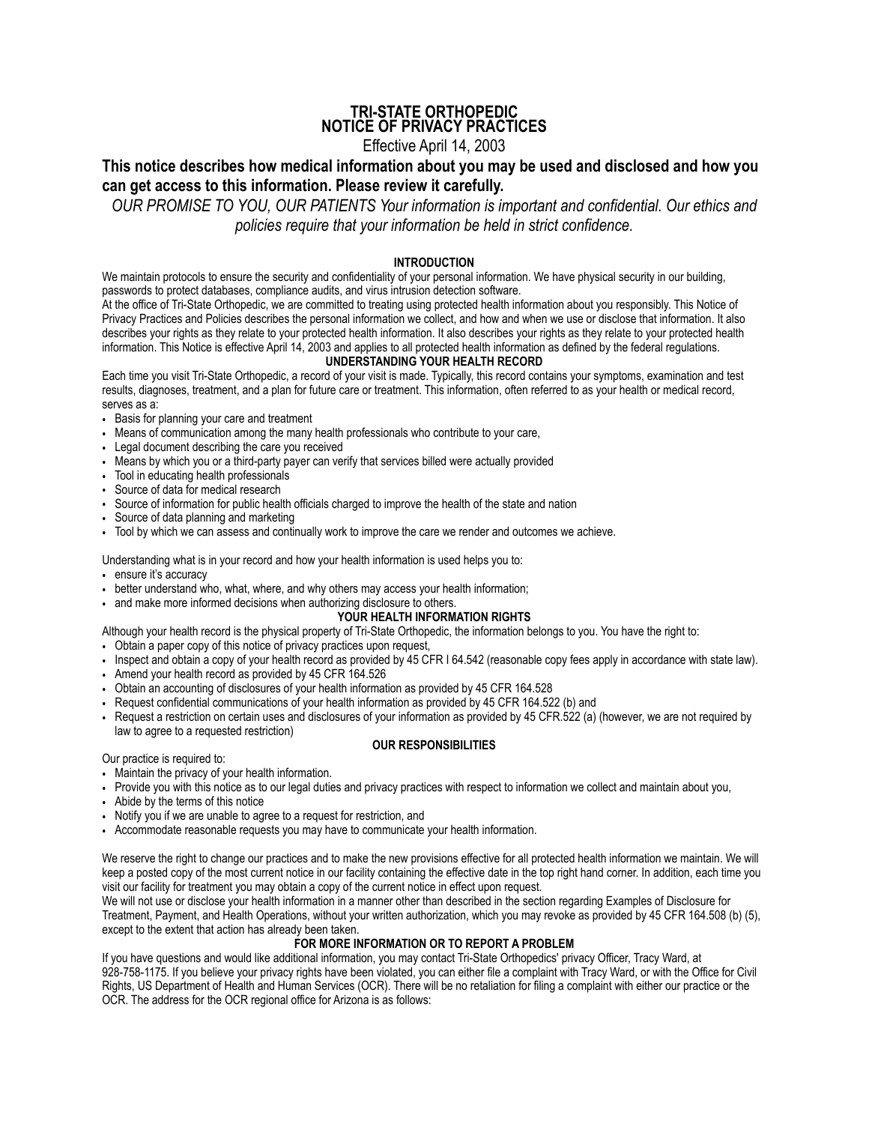## **TRI-STATE ORTHOPEDIC NOTICE OF PRIVACY PRACTICES**

# Effective April 14, 2003

# **This notice describes how medical information about you may be used and disclosed and how you can get access to this information. Please review it carefully.**

*OUR PROMISE TO YOU, OUR PATIENTS Your information is important and confidential. Our ethics and policies require that your information be held in strict confidence.*

## **INTRODUCTION**

We maintain protocols to ensure the security and confidentiality of your personal information. We have physical security in our building, passwords to protect databases, compliance audits, and virus intrusion detection software.

At the office of Tri-State Orthopedic, we are committed to treating using protected health information about you responsibly. This Notice of Privacy Practices and Policies describes the personal information we collect, and how and when we use or disclose that information. It also describes your rights as they relate to your protected health information. It also describes your rights as they relate to your protected health information. This Notice is effective April 14, 2003 and applies to all protected health information as defined by the federal regulations.

### **UNDERSTANDING YOUR HEALTH RECORD**

Each time you visit Tri-State Orthopedic, a record of your visit is made. Typically, this record contains your symptoms, examination and test results, diagnoses, treatment, and a plan for future care or treatment. This information, often referred to as your health or medical record, serves as a:

- Basis for planning your care and treatment
- Means of communication among the many health professionals who contribute to your care,
- Legal document describing the care you received
- Means by which you or a third-party payer can verify that services billed were actually provided
- Tool in educating health professionals
- Source of data for medical research
- Source of information for public health officials charged to improve the health of the state and nation
- Source of data planning and marketing
- Tool by which we can assess and continually work to improve the care we render and outcomes we achieve.

### Understanding what is in your record and how your health information is used helps you to:

• ensure it's accuracy

- better understand who, what, where, and why others may access your health information;
- and make more informed decisions when authorizing disclosure to others.

## **YOUR HEALTH INFORMATION RIGHTS**

Although your health record is the physical property of Tri-State Orthopedic, the information belongs to you. You have the right to:

- Obtain a paper copy of this notice of privacy practices upon request,
- Inspect and obtain a copy of your health record as provided by 45 CFR I 64.542 (reasonable copy fees apply in accordance with state law).
- Amend your health record as provided by 45 CFR 164.526
- Obtain an accounting of disclosures of your health information as provided by 45 CFR 164.528
- Request confidential communications of your health information as provided by 45 CFR 164.522 (b) and
- Request a restriction on certain uses and disclosures of your information as provided by 45 CFR.522 (a) (however, we are not required by law to agree to a requested restriction)

## **OUR RESPONSIBILITIES**

Our practice is required to:

- Maintain the privacy of your health information.
- Provide you with this notice as to our legal duties and privacy practices with respect to information we collect and maintain about you,
- Abide by the terms of this notice
- Notify you if we are unable to agree to a request for restriction, and
- Accommodate reasonable requests you may have to communicate your health information.

We reserve the right to change our practices and to make the new provisions effective for all protected health information we maintain. We will keep a posted copy of the most current notice in our facility containing the effective date in the top right hand corner. In addition, each time you visit our facility for treatment you may obtain a copy of the current notice in effect upon request.

We will not use or disclose your health information in a manner other than described in the section regarding Examples of Disclosure for Treatment, Payment, and Health Operations, without your written authorization, which you may revoke as provided by 45 CFR 164.508 (b) (5), except to the extent that action has already been taken.

## **FOR MORE INFORMATION OR TO REPORT A PROBLEM**

If you have questions and would like additional information, you may contact Tri-State Orthopedics' privacy Officer, Tracy Ward, at 928-758-1175. If you believe your privacy rights have been violated, you can either file a complaint with Tracy Ward, or with the Office for Civil Rights, US Department of Health and Human Services (OCR). There will be no retaliation for filing a complaint with either our practice or the OCR. The address for the OCR regional office for Arizona is as follows: